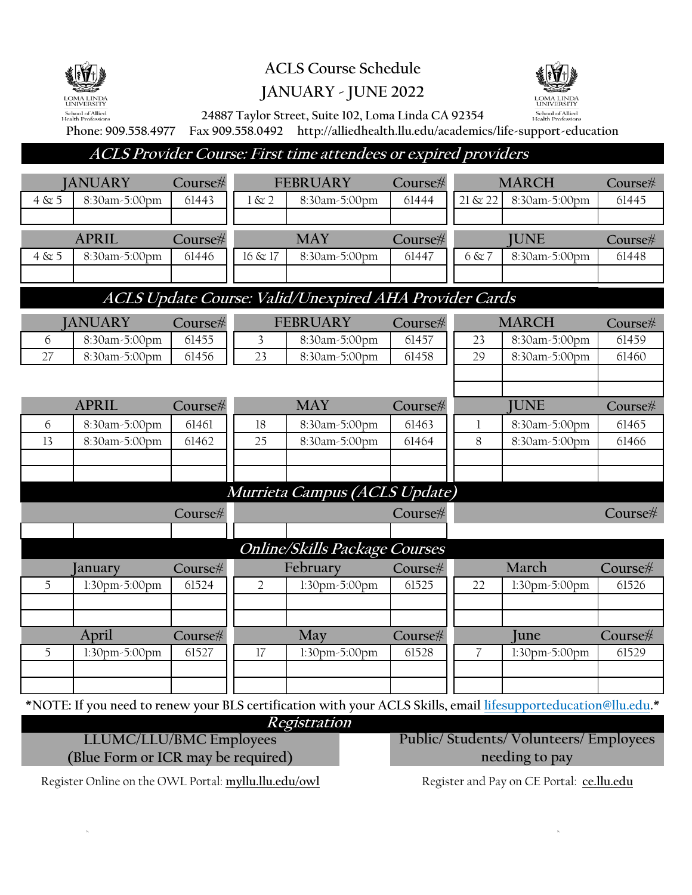

**ACLS Course Schedule**



## **JANUARY - JUNE 2022**

**24887 Taylor Street, Suite 102, Loma Linda CA 92354**

**Phone: 909.558.4977 Fax 909.558.0492 http://alliedhealth.llu.edu/academics/life-support-education**

**ACLS Provider Course: First time attendees or expired providers**

|                                                                                                                | <b>JANUARY</b> | Course#         |                | <b>FEBRUARY</b>      | Course#      |                | <b>MARCH</b>         | Course# |
|----------------------------------------------------------------------------------------------------------------|----------------|-----------------|----------------|----------------------|--------------|----------------|----------------------|---------|
| 4 & 5                                                                                                          | 8:30am-5:00pm  | 61443           | $1 \& 2$       | 8:30am-5:00pm        | 61444        | $21 \& 22$     | 8:30am-5:00pm        | 61445   |
|                                                                                                                |                |                 |                |                      |              |                |                      |         |
| <b>APRIL</b><br>Course#                                                                                        |                | <b>MAY</b>      |                | Course#              | <b>JUNE</b>  |                | Course#              |         |
| $4 \& 5$                                                                                                       | 8:30am-5:00pm  | 61446           | 16 & 17        | 8:30am-5:00pm        | 61447        | 6 & 7          | 8:30am-5:00pm        | 61448   |
|                                                                                                                |                |                 |                |                      |              |                |                      |         |
| ACLS Update Course: Valid/Unexpired AHA Provider Cards                                                         |                |                 |                |                      |              |                |                      |         |
| <b>JANUARY</b><br>Course#                                                                                      |                | <b>FEBRUARY</b> |                | Course#              | <b>MARCH</b> |                | Course#              |         |
| 6                                                                                                              | 8:30am-5:00pm  | 61455           | 3              | 8:30am-5:00pm        | 61457        | 23             | 8:30am-5:00pm        | 61459   |
| 27                                                                                                             | 8:30am-5:00pm  | 61456           | 23             | 8:30am-5:00pm        | 61458        | 29             | 8:30am-5:00pm        | 61460   |
|                                                                                                                |                |                 |                |                      |              |                |                      |         |
|                                                                                                                | <b>APRIL</b>   |                 |                | <b>MAY</b>           |              |                | <b>JUNE</b>          |         |
|                                                                                                                |                | Course#         |                |                      | Course#      |                |                      | Course# |
| 6<br>13                                                                                                        | 8:30am-5:00pm  | 61461           | 18<br>25       | 8:30am-5:00pm        | 61463        | 8              | 8:30am-5:00pm        | 61465   |
|                                                                                                                | 8:30am-5:00pm  | 61462           |                | 8:30am-5:00pm        | 61464        |                | 8:30am-5:00pm        | 61466   |
|                                                                                                                |                |                 |                |                      |              |                |                      |         |
|                                                                                                                |                |                 |                |                      |              |                |                      |         |
| Murrieta Campus (ACLS Update)<br>Course#<br>Course#                                                            |                |                 |                |                      | Course#      |                |                      |         |
|                                                                                                                |                |                 |                |                      |              |                |                      |         |
| <b>Online/Skills Package Courses</b>                                                                           |                |                 |                |                      |              |                |                      |         |
|                                                                                                                | anuary         | Course#         |                | February             | Course#      |                | March                | Course# |
| 5                                                                                                              | 1:30pm-5:00pm  | 61524           | $\overline{2}$ | 1:30pm-5:00pm        | 61525        | 22             | 1:30pm-5:00pm        | 61526   |
|                                                                                                                |                |                 |                |                      |              |                |                      |         |
|                                                                                                                |                |                 |                |                      |              |                |                      |         |
|                                                                                                                | April          | Course#         |                | May                  | Course#      |                | <b>Iune</b>          | Course# |
| 5                                                                                                              | 1:30pm-5:00pm  | 61527           | 17             | $1:30$ pm $-5:00$ pm | 61528        | $\overline{7}$ | $1:30$ pm $-5:00$ pm | 61529   |
|                                                                                                                |                |                 |                |                      |              |                |                      |         |
|                                                                                                                |                |                 |                |                      |              |                |                      |         |
| *NOTE: If you need to renew your BLS certification with your ACLS Skills, email lifesupporteducation@llu.edu.* |                |                 |                |                      |              |                |                      |         |

**Registration**

**LLUMC/LLU/BMC Employees (Blue Form or ICR may be required)** **Public/ Students/ Volunteers/ Employees needing to pay**

Register Online on the OWL Portal: **myllu.llu.edu/owl** Register and Pay on CE Portal: **ce.llu.edu**